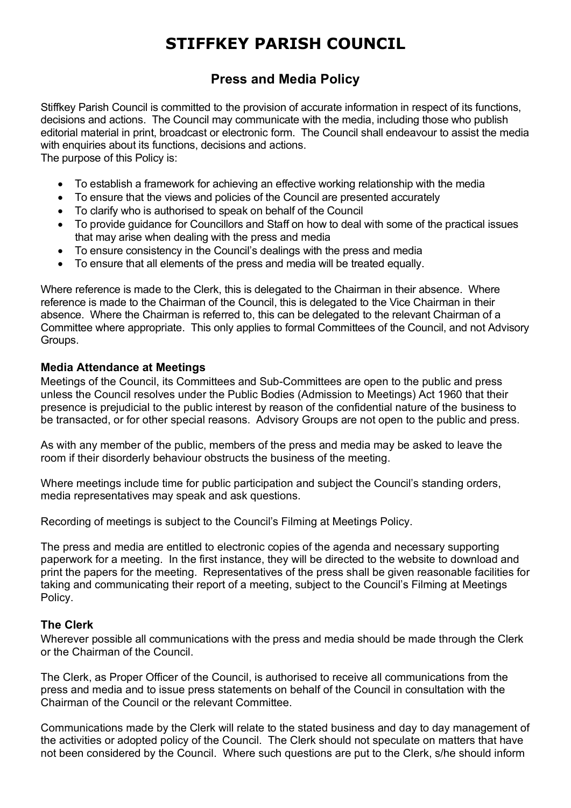# **STIFFKEY PARISH COUNCIL**

## **Press and Media Policy**

Stiffkey Parish Council is committed to the provision of accurate information in respect of its functions, decisions and actions. The Council may communicate with the media, including those who publish editorial material in print, broadcast or electronic form. The Council shall endeavour to assist the media with enquiries about its functions, decisions and actions.

The purpose of this Policy is:

- To establish a framework for achieving an effective working relationship with the media
- To ensure that the views and policies of the Council are presented accurately
- To clarify who is authorised to speak on behalf of the Council
- To provide guidance for Councillors and Staff on how to deal with some of the practical issues that may arise when dealing with the press and media
- To ensure consistency in the Council's dealings with the press and media
- To ensure that all elements of the press and media will be treated equally.

Where reference is made to the Clerk, this is delegated to the Chairman in their absence. Where reference is made to the Chairman of the Council, this is delegated to the Vice Chairman in their absence. Where the Chairman is referred to, this can be delegated to the relevant Chairman of a Committee where appropriate. This only applies to formal Committees of the Council, and not Advisory Groups.

#### **Media Attendance at Meetings**

Meetings of the Council, its Committees and Sub-Committees are open to the public and press unless the Council resolves under the Public Bodies (Admission to Meetings) Act 1960 that their presence is prejudicial to the public interest by reason of the confidential nature of the business to be transacted, or for other special reasons. Advisory Groups are not open to the public and press.

As with any member of the public, members of the press and media may be asked to leave the room if their disorderly behaviour obstructs the business of the meeting.

Where meetings include time for public participation and subject the Council's standing orders, media representatives may speak and ask questions.

Recording of meetings is subject to the Council's Filming at Meetings Policy.

The press and media are entitled to electronic copies of the agenda and necessary supporting paperwork for a meeting. In the first instance, they will be directed to the website to download and print the papers for the meeting. Representatives of the press shall be given reasonable facilities for taking and communicating their report of a meeting, subject to the Council's Filming at Meetings Policy.

#### **The Clerk**

Wherever possible all communications with the press and media should be made through the Clerk or the Chairman of the Council.

The Clerk, as Proper Officer of the Council, is authorised to receive all communications from the press and media and to issue press statements on behalf of the Council in consultation with the Chairman of the Council or the relevant Committee.

Communications made by the Clerk will relate to the stated business and day to day management of the activities or adopted policy of the Council. The Clerk should not speculate on matters that have not been considered by the Council. Where such questions are put to the Clerk, s/he should inform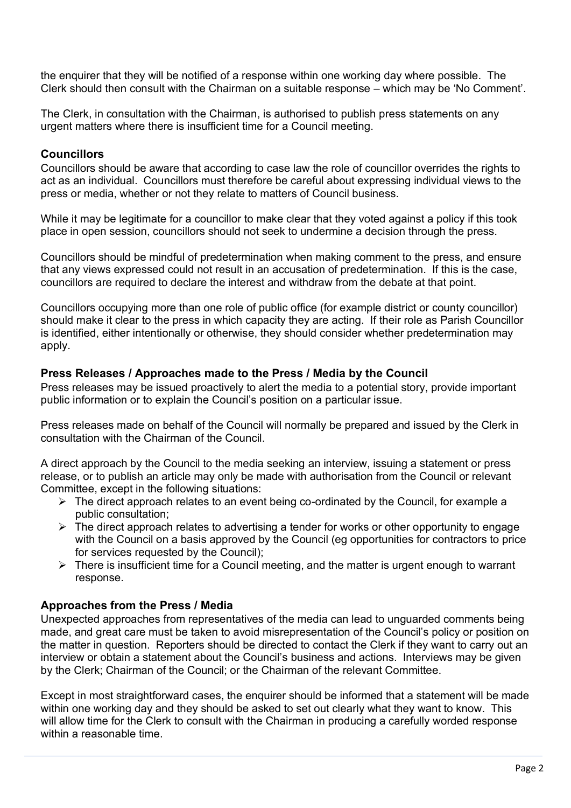the enquirer that they will be notified of a response within one working day where possible. The Clerk should then consult with the Chairman on a suitable response – which may be 'No Comment'.

The Clerk, in consultation with the Chairman, is authorised to publish press statements on any urgent matters where there is insufficient time for a Council meeting.

#### **Councillors**

Councillors should be aware that according to case law the role of councillor overrides the rights to act as an individual. Councillors must therefore be careful about expressing individual views to the press or media, whether or not they relate to matters of Council business.

While it may be legitimate for a councillor to make clear that they voted against a policy if this took place in open session, councillors should not seek to undermine a decision through the press.

Councillors should be mindful of predetermination when making comment to the press, and ensure that any views expressed could not result in an accusation of predetermination. If this is the case, councillors are required to declare the interest and withdraw from the debate at that point.

Councillors occupying more than one role of public office (for example district or county councillor) should make it clear to the press in which capacity they are acting. If their role as Parish Councillor is identified, either intentionally or otherwise, they should consider whether predetermination may apply.

#### **Press Releases / Approaches made to the Press / Media by the Council**

Press releases may be issued proactively to alert the media to a potential story, provide important public information or to explain the Council's position on a particular issue.

Press releases made on behalf of the Council will normally be prepared and issued by the Clerk in consultation with the Chairman of the Council.

A direct approach by the Council to the media seeking an interview, issuing a statement or press release, or to publish an article may only be made with authorisation from the Council or relevant Committee, except in the following situations:

- ➢ The direct approach relates to an event being co-ordinated by the Council, for example a public consultation;
- $\triangleright$  The direct approach relates to advertising a tender for works or other opportunity to engage with the Council on a basis approved by the Council (eg opportunities for contractors to price for services requested by the Council);
- $\triangleright$  There is insufficient time for a Council meeting, and the matter is urgent enough to warrant response.

#### **Approaches from the Press / Media**

Unexpected approaches from representatives of the media can lead to unguarded comments being made, and great care must be taken to avoid misrepresentation of the Council's policy or position on the matter in question. Reporters should be directed to contact the Clerk if they want to carry out an interview or obtain a statement about the Council's business and actions. Interviews may be given by the Clerk; Chairman of the Council; or the Chairman of the relevant Committee.

Except in most straightforward cases, the enquirer should be informed that a statement will be made within one working day and they should be asked to set out clearly what they want to know. This will allow time for the Clerk to consult with the Chairman in producing a carefully worded response within a reasonable time.